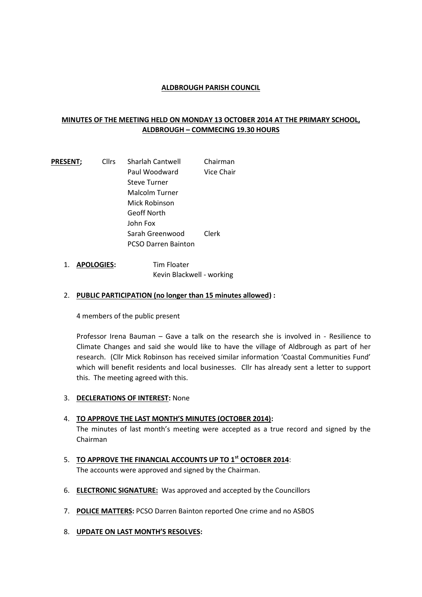## **ALDBROUGH PARISH COUNCIL**

# **MINUTES OF THE MEETING HELD ON MONDAY 13 OCTOBER 2014 AT THE PRIMARY SCHOOL, ALDBROUGH – COMMECING 19.30 HOURS**

**PRESENT;** Cllrs Sharlah Cantwell Chairman Paul Woodward Vice Chair Steve Turner Malcolm Turner Mick Robinson Geoff North John Fox Sarah Greenwood Clerk PCSO Darren Bainton

1. **APOLOGIES:** Tim Floater Kevin Blackwell - working

## 2. **PUBLIC PARTICIPATION (no longer than 15 minutes allowed) :**

4 members of the public present

Professor Irena Bauman – Gave a talk on the research she is involved in - Resilience to Climate Changes and said she would like to have the village of Aldbrough as part of her research. (Cllr Mick Robinson has received similar information 'Coastal Communities Fund' which will benefit residents and local businesses. Cllr has already sent a letter to support this. The meeting agreed with this.

- 3. **DECLERATIONS OF INTEREST:** None
- 4. **TO APPROVE THE LAST MONTH'S MINUTES (OCTOBER 2014):**

The minutes of last month's meeting were accepted as a true record and signed by the Chairman

- 5. **TO APPROVE THE FINANCIAL ACCOUNTS UP TO 1st OCTOBER 2014**: The accounts were approved and signed by the Chairman.
- 6. **ELECTRONIC SIGNATURE:** Was approved and accepted by the Councillors
- 7. **POLICE MATTERS:** PCSO Darren Bainton reported One crime and no ASBOS
- 8. **UPDATE ON LAST MONTH'S RESOLVES:**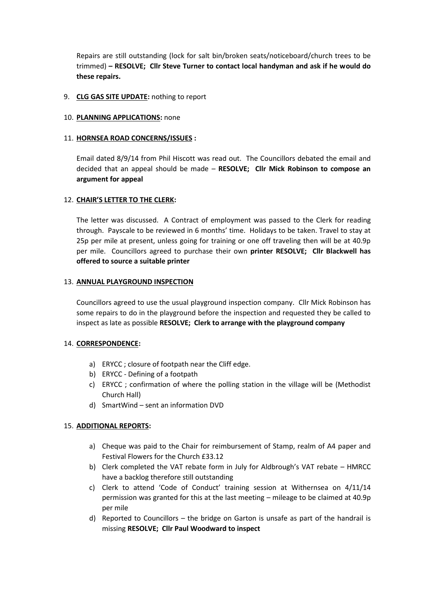Repairs are still outstanding (lock for salt bin/broken seats/noticeboard/church trees to be trimmed) **– RESOLVE; Cllr Steve Turner to contact local handyman and ask if he would do these repairs.**

#### 9. **CLG GAS SITE UPDATE:** nothing to report

## 10. **PLANNING APPLICATIONS:** none

## 11. **HORNSEA ROAD CONCERNS/ISSUES :**

Email dated 8/9/14 from Phil Hiscott was read out. The Councillors debated the email and decided that an appeal should be made – **RESOLVE; Cllr Mick Robinson to compose an argument for appeal**

## 12. **CHAIR'S LETTER TO THE CLERK:**

The letter was discussed. A Contract of employment was passed to the Clerk for reading through. Payscale to be reviewed in 6 months' time. Holidays to be taken. Travel to stay at 25p per mile at present, unless going for training or one off traveling then will be at 40.9p per mile. Councillors agreed to purchase their own **printer RESOLVE; Cllr Blackwell has offered to source a suitable printer**

#### 13. **ANNUAL PLAYGROUND INSPECTION**

Councillors agreed to use the usual playground inspection company. Cllr Mick Robinson has some repairs to do in the playground before the inspection and requested they be called to inspect as late as possible **RESOLVE; Clerk to arrange with the playground company**

#### 14. **CORRESPONDENCE:**

- a) ERYCC ; closure of footpath near the Cliff edge.
- b) ERYCC Defining of a footpath
- c) ERYCC ; confirmation of where the polling station in the village will be (Methodist Church Hall)
- d) SmartWind sent an information DVD

#### 15. **ADDITIONAL REPORTS:**

- a) Cheque was paid to the Chair for reimbursement of Stamp, realm of A4 paper and Festival Flowers for the Church £33.12
- b) Clerk completed the VAT rebate form in July for Aldbrough's VAT rebate HMRCC have a backlog therefore still outstanding
- c) Clerk to attend 'Code of Conduct' training session at Withernsea on 4/11/14 permission was granted for this at the last meeting – mileage to be claimed at 40.9p per mile
- d) Reported to Councillors the bridge on Garton is unsafe as part of the handrail is missing **RESOLVE; Cllr Paul Woodward to inspect**